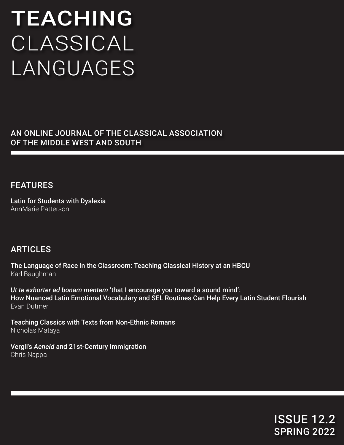# TEACHING CLASSICAL LANGUAGES

AN ONLINE JOURNAL OF THE CLASSICAL ASSOCIATION OF THE MIDDLE WEST AND SOUTH

## FEATURES

Latin for Students with Dyslexia AnnMarie Patterson

## ARTICLES

The Language of Race in the Classroom: Teaching Classical History at an HBCU Karl Baughman

*Ut te exhorter ad bonam mentem* 'that I encourage you toward a sound mind': How Nuanced Latin Emotional Vocabulary and SEL Routines Can Help Every Latin Student Flourish Evan Dutmer

Teaching Classics with Texts from Non-Ethnic Romans Nicholas Mataya

Vergil's *Aeneid* and 21st-Century Immigration Chris Nappa

> ISSUE 12.2 SPRING 2022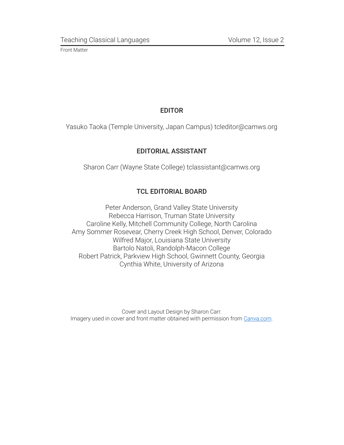## EDITOR

Yasuko Taoka (Temple University, Japan Campus) tcleditor@camws.org

## EDITORIAL ASSISTANT

Sharon Carr (Wayne State College) tclassistant@camws.org

## TCL EDITORIAL BOARD

Peter Anderson, Grand Valley State University Rebecca Harrison, Truman State University Caroline Kelly, Mitchell Community College, North Carolina Amy Sommer Rosevear, Cherry Creek High School, Denver, Colorado Wilfred Major, Louisiana State University Bartolo Natoli, Randolph-Macon College Robert Patrick, Parkview High School, Gwinnett County, Georgia Cynthia White, University of Arizona

Cover and Layout Design by Sharon Carr. Imagery used in cover and front matter obtained with permission from [Canva.com](http://Canva.com).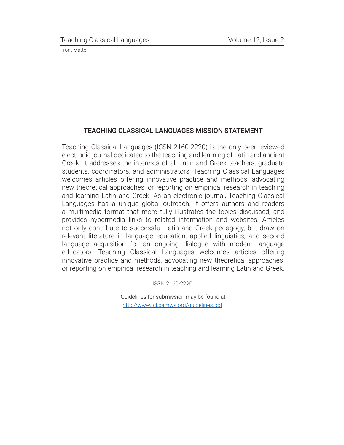### TEACHING CLASSICAL LANGUAGES MISSION STATEMENT

Teaching Classical Languages (ISSN 2160-2220) is the only peer-reviewed electronic journal dedicated to the teaching and learning of Latin and ancient Greek. It addresses the interests of all Latin and Greek teachers, graduate students, coordinators, and administrators. Teaching Classical Languages welcomes articles offering innovative practice and methods, advocating new theoretical approaches, or reporting on empirical research in teaching and learning Latin and Greek. As an electronic journal, Teaching Classical Languages has a unique global outreach. It offers authors and readers a multimedia format that more fully illustrates the topics discussed, and provides hypermedia links to related information and websites. Articles not only contribute to successful Latin and Greek pedagogy, but draw on relevant literature in language education, applied linguistics, and second language acquisition for an ongoing dialogue with modern language educators. Teaching Classical Languages welcomes articles offering innovative practice and methods, advocating new theoretical approaches, or reporting on empirical research in teaching and learning Latin and Greek.

ISSN 2160-2220.

Guidelines for submission may be found at [http://www.tcl.camws.org/guidelines.pdf.](http://www.tcl.camws.org/guidelines.pdf)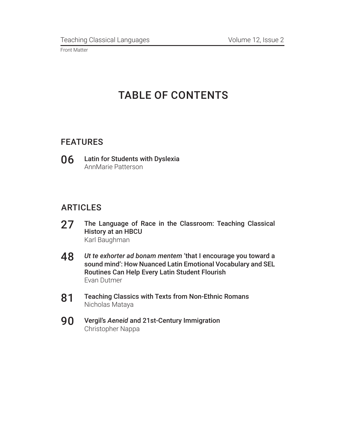# TABLE OF CONTENTS

## FEATURES

Latin for Students with Dyslexia AnnMarie Patterson 06

## ARTICLES

- The Language of Race in the Classroom: Teaching Classical History at an HBCU Karl Baughman 27
- *Ut te exhorter ad bonam mentem* 'that I encourage you toward a sound mind': How Nuanced Latin Emotional Vocabulary and SEL Routines Can Help Every Latin Student Flourish Evan Dutmer 48
- Teaching Classics with Texts from Non-Ethnic Romans Nicholas Mataya 81
- Vergil's *Aeneid* and 21st-Century Immigration Christopher Nappa 90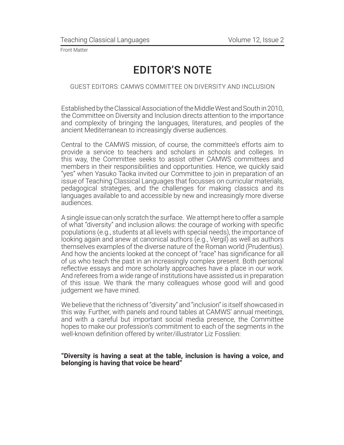## EDITOR'S NOTE

#### GUEST EDITORS: CAMWS COMMITTEE ON DIVERSITY AND INCLUSION

Established by the Classical Association of the Middle West and South in 2010, the Committee on Diversity and Inclusion directs attention to the importance and complexity of bringing the languages, literatures, and peoples of the ancient Mediterranean to increasingly diverse audiences.

Central to the CAMWS mission, of course, the committee's efforts aim to provide a service to teachers and scholars in schools and colleges. In this way, the Committee seeks to assist other CAMWS committees and members in their responsibilities and opportunities. Hence, we quickly said "yes" when Yasuko Taoka invited our Committee to join in preparation of an issue of Teaching Classical Languages that focusses on curricular materials, pedagogical strategies, and the challenges for making classics and its languages available to and accessible by new and increasingly more diverse audiences.

A single issue can only scratch the surface. We attempt here to offer a sample of what "diversity" and inclusion allows: the courage of working with specific populations (e.g., students at all levels with special needs), the importance of looking again and anew at canonical authors (e.g., Vergil) as well as authors themselves examples of the diverse nature of the Roman world (Prudentius). And how the ancients looked at the concept of "race" has significance for all of us who teach the past in an increasingly complex present. Both personal reflective essays and more scholarly approaches have a place in our work. And referees from a wide range of institutions have assisted us in preparation of this issue. We thank the many colleagues whose good will and good judgement we have mined.

We believe that the richness of "diversity" and "inclusion" is itself showcased in this way. Further, with panels and round tables at CAMWS' annual meetings, and with a careful but important social media presence, the Committee hopes to make our profession's commitment to each of the segments in the well-known definition offered by writer/illustrator Liz Fosslien:

#### **"Diversity is having a seat at the table, inclusion is having a voice, and belonging is having that voice be heard"**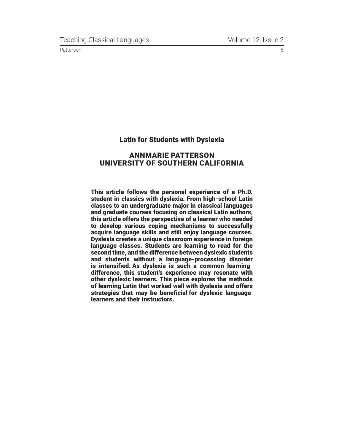#### Latin for Students with Dyslexia

#### ANNMARIE PATTERSON UNIVERSITY OF SOUTHERN CALIFORNIA

This article follows the personal experience of a Ph.D. student in classics with dyslexia. From high-school Latin classes to an undergraduate major in classical languages and graduate courses focusing on classical Latin authors, this article offers the perspective of a learner who needed to develop various coping mechanisms to successfully acquire language skills and still enjoy language courses. Dyslexia creates a unique classroom experience in foreign language classes. Students are learning to read for the second time, and the difference between dyslexic students and students without a language-processing disorder is intensified. As dyslexia is such a common learning difference, this student's experience may resonate with other dyslexic learners. This piece explores the methods of learning Latin that worked well with dyslexia and offers strategies that may be beneficial for dyslexic language learners and their instructors.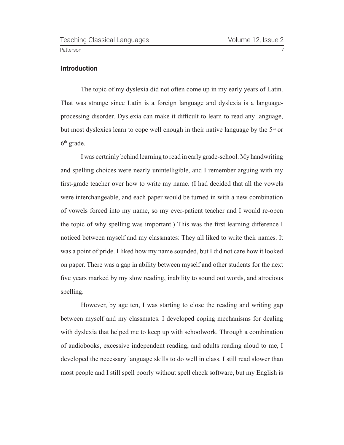#### **Introduction**

The topic of my dyslexia did not often come up in my early years of Latin. That was strange since Latin is a foreign language and dyslexia is a languageprocessing disorder. Dyslexia can make it difficult to learn to read any language, but most dyslexics learn to cope well enough in their native language by the 5<sup>th</sup> or  $6<sup>th</sup>$  grade.

I was certainly behind learning to read in early grade-school. My handwriting and spelling choices were nearly unintelligible, and I remember arguing with my first-grade teacher over how to write my name. (I had decided that all the vowels were interchangeable, and each paper would be turned in with a new combination of vowels forced into my name, so my ever-patient teacher and I would re-open the topic of why spelling was important.) This was the first learning difference I noticed between myself and my classmates: They all liked to write their names. It was a point of pride. I liked how my name sounded, but I did not care how it looked on paper. There was a gap in ability between myself and other students for the next five years marked by my slow reading, inability to sound out words, and atrocious spelling.

However, by age ten, I was starting to close the reading and writing gap between myself and my classmates. I developed coping mechanisms for dealing with dyslexia that helped me to keep up with schoolwork. Through a combination of audiobooks, excessive independent reading, and adults reading aloud to me, I developed the necessary language skills to do well in class. I still read slower than most people and I still spell poorly without spell check software, but my English is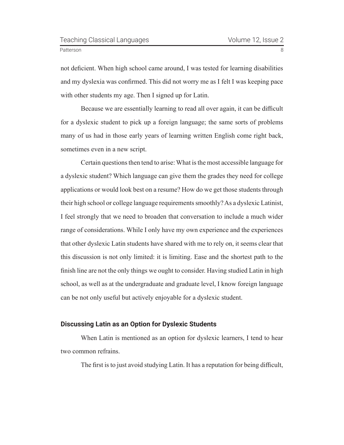not deficient. When high school came around, I was tested for learning disabilities and my dyslexia was confirmed. This did not worry me as I felt I was keeping pace with other students my age. Then I signed up for Latin.

Because we are essentially learning to read all over again, it can be difficult for a dyslexic student to pick up a foreign language; the same sorts of problems many of us had in those early years of learning written English come right back, sometimes even in a new script.

Certain questions then tend to arise: What is the most accessible language for a dyslexic student? Which language can give them the grades they need for college applications or would look best on a resume? How do we get those students through their high school or college language requirements smoothly? As a dyslexic Latinist, I feel strongly that we need to broaden that conversation to include a much wider range of considerations. While I only have my own experience and the experiences that other dyslexic Latin students have shared with me to rely on, it seems clear that this discussion is not only limited: it is limiting. Ease and the shortest path to the finish line are not the only things we ought to consider. Having studied Latin in high school, as well as at the undergraduate and graduate level, I know foreign language can be not only useful but actively enjoyable for a dyslexic student.

#### **Discussing Latin as an Option for Dyslexic Students**

When Latin is mentioned as an option for dyslexic learners, I tend to hear two common refrains.

The first is to just avoid studying Latin. It has a reputation for being difficult,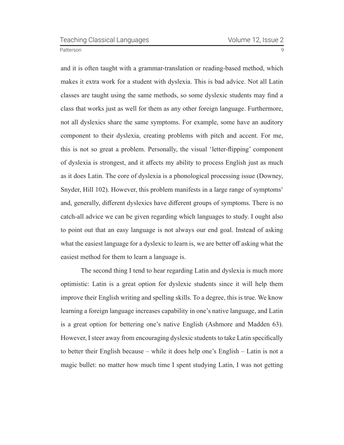<span id="page-8-0"></span>and it is often taught with a grammar-translation or reading-based method, which makes it extra work for a student with dyslexia. This is bad advice. Not all Latin classes are taught using the same methods, so some dyslexic students may find a class that works just as well for them as any other foreign language. Furthermore, not all dyslexics share the same symptoms. For example, some have an auditory component to their dyslexia, creating problems with pitch and accent. For me, this is not so great a problem. Personally, the visual 'letter-flipping' component of dyslexia is strongest, and it affects my ability to process English just as much as it does Latin. The core of dyslexia is a phonological processing issue (Downey, Snyder, Hill [1](#page-23-0)02). However, this problem manifests in a large range of symptoms<sup>1</sup> and, generally, different dyslexics have different groups of symptoms. There is no catch-all advice we can be given regarding which languages to study. I ought also to point out that an easy language is not always our end goal. Instead of asking what the easiest language for a dyslexic to learn is, we are better off asking what the easiest method for them to learn a language is.

The second thing I tend to hear regarding Latin and dyslexia is much more optimistic: Latin is a great option for dyslexic students since it will help them improve their English writing and spelling skills. To a degree, this is true. We know learning a foreign language increases capability in one's native language, and Latin is a great option for bettering one's native English (Ashmore and Madden 63). However, I steer away from encouraging dyslexic students to take Latin specifically to better their English because – while it does help one's English – Latin is not a magic bullet: no matter how much time I spent studying Latin, I was not getting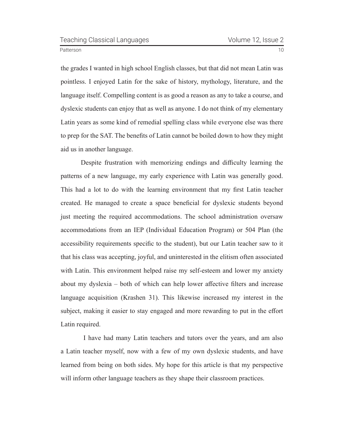Patterson 2008 and 2009 and 2009 and 2009 and 2009 and 2009 and 2009 and 2009 and 2009 and 2009 and 2009 and 20

the grades I wanted in high school English classes, but that did not mean Latin was pointless. I enjoyed Latin for the sake of history, mythology, literature, and the language itself. Compelling content is as good a reason as any to take a course, and dyslexic students can enjoy that as well as anyone. I do not think of my elementary Latin years as some kind of remedial spelling class while everyone else was there to prep for the SAT. The benefits of Latin cannot be boiled down to how they might aid us in another language.

Despite frustration with memorizing endings and difficulty learning the patterns of a new language, my early experience with Latin was generally good. This had a lot to do with the learning environment that my first Latin teacher created. He managed to create a space beneficial for dyslexic students beyond just meeting the required accommodations. The school administration oversaw accommodations from an IEP (Individual Education Program) or 504 Plan (the accessibility requirements specific to the student), but our Latin teacher saw to it that his class was accepting, joyful, and uninterested in the elitism often associated with Latin. This environment helped raise my self-esteem and lower my anxiety about my dyslexia – both of which can help lower affective filters and increase language acquisition (Krashen 31). This likewise increased my interest in the subject, making it easier to stay engaged and more rewarding to put in the effort Latin required.

 I have had many Latin teachers and tutors over the years, and am also a Latin teacher myself, now with a few of my own dyslexic students, and have learned from being on both sides. My hope for this article is that my perspective will inform other language teachers as they shape their classroom practices.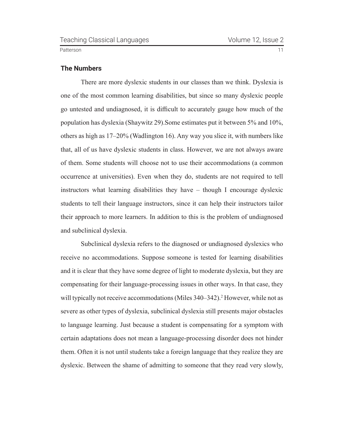#### <span id="page-10-0"></span>**The Numbers**

There are more dyslexic students in our classes than we think. Dyslexia is one of the most common learning disabilities, but since so many dyslexic people go untested and undiagnosed, it is difficult to accurately gauge how much of the population has dyslexia (Shaywitz 29).Some estimates put it between 5% and 10%, others as high as 17–20% (Wadlington 16). Any way you slice it, with numbers like that, all of us have dyslexic students in class. However, we are not always aware of them. Some students will choose not to use their accommodations (a common occurrence at universities). Even when they do, students are not required to tell instructors what learning disabilities they have – though I encourage dyslexic students to tell their language instructors, since it can help their instructors tailor their approach to more learners. In addition to this is the problem of undiagnosed and subclinical dyslexia.

Subclinical dyslexia refers to the diagnosed or undiagnosed dyslexics who receive no accommodations. Suppose someone is tested for learning disabilities and it is clear that they have some degree of light to moderate dyslexia, but they are compensating for their language-processing issues in other ways. In that case, they will typically not receive accommodations (Miles 340–342).<sup>2</sup> However, while not as severe as other types of dyslexia, subclinical dyslexia still presents major obstacles to language learning. Just because a student is compensating for a symptom with certain adaptations does not mean a language-processing disorder does not hinder them. Often it is not until students take a foreign language that they realize they are dyslexic. Between the shame of admitting to someone that they read very slowly,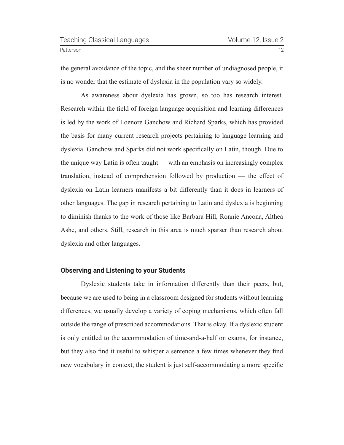the general avoidance of the topic, and the sheer number of undiagnosed people, it is no wonder that the estimate of dyslexia in the population vary so widely.

As awareness about dyslexia has grown, so too has research interest. Research within the field of foreign language acquisition and learning differences is led by the work of Loenore Ganchow and Richard Sparks, which has provided the basis for many current research projects pertaining to language learning and dyslexia. Ganchow and Sparks did not work specifically on Latin, though. Due to the unique way Latin is often taught — with an emphasis on increasingly complex translation, instead of comprehension followed by production — the effect of dyslexia on Latin learners manifests a bit differently than it does in learners of other languages. The gap in research pertaining to Latin and dyslexia is beginning to diminish thanks to the work of those like Barbara Hill, Ronnie Ancona, Althea Ashe, and others. Still, research in this area is much sparser than research about dyslexia and other languages.

#### **Observing and Listening to your Students**

Dyslexic students take in information differently than their peers, but, because we are used to being in a classroom designed for students without learning differences, we usually develop a variety of coping mechanisms, which often fall outside the range of prescribed accommodations. That is okay. If a dyslexic student is only entitled to the accommodation of time-and-a-half on exams, for instance, but they also find it useful to whisper a sentence a few times whenever they find new vocabulary in context, the student is just self-accommodating a more specific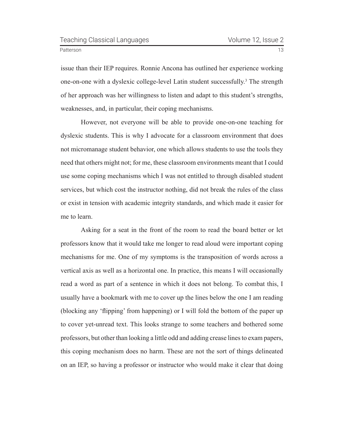<span id="page-12-0"></span>

issue than their IEP requires. Ronnie Ancona has outlined her experience working one-on-one with a dyslexic college-level Latin student successfully.<sup>[3](#page-23-0)</sup> The strength of her approach was her willingness to listen and adapt to this student's strengths, weaknesses, and, in particular, their coping mechanisms.

However, not everyone will be able to provide one-on-one teaching for dyslexic students. This is why I advocate for a classroom environment that does not micromanage student behavior, one which allows students to use the tools they need that others might not; for me, these classroom environments meant that I could use some coping mechanisms which I was not entitled to through disabled student services, but which cost the instructor nothing, did not break the rules of the class or exist in tension with academic integrity standards, and which made it easier for me to learn.

Asking for a seat in the front of the room to read the board better or let professors know that it would take me longer to read aloud were important coping mechanisms for me. One of my symptoms is the transposition of words across a vertical axis as well as a horizontal one. In practice, this means I will occasionally read a word as part of a sentence in which it does not belong. To combat this, I usually have a bookmark with me to cover up the lines below the one I am reading (blocking any 'flipping' from happening) or I will fold the bottom of the paper up to cover yet-unread text. This looks strange to some teachers and bothered some professors, but other than looking a little odd and adding crease lines to exam papers, this coping mechanism does no harm. These are not the sort of things delineated on an IEP, so having a professor or instructor who would make it clear that doing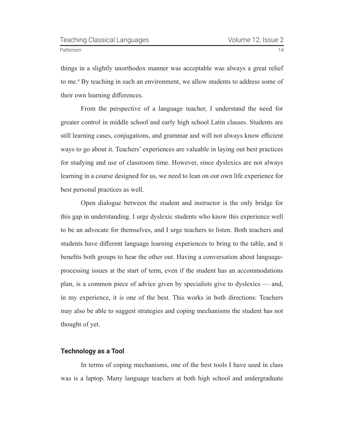<span id="page-13-0"></span>

things in a slightly unorthodox manner was acceptable was always a great relief to me.[4](#page-23-0) By teaching in such an environment, we allow students to address some of their own learning differences.

From the perspective of a language teacher, I understand the need for greater control in middle school and early high school Latin classes. Students are still learning cases, conjugations, and grammar and will not always know efficient ways to go about it. Teachers' experiences are valuable in laying out best practices for studying and use of classroom time. However, since dyslexics are not always learning in a course designed for us, we need to lean on our own life experience for best personal practices as well.

Open dialogue between the student and instructor is the only bridge for this gap in understanding. I urge dyslexic students who know this experience well to be an advocate for themselves, and I urge teachers to listen. Both teachers and students have different language learning experiences to bring to the table, and it benefits both groups to hear the other out. Having a conversation about languageprocessing issues at the start of term, even if the student has an accommodations plan, is a common piece of advice given by specialists give to dyslexics — and, in my experience, it is one of the best. This works in both directions: Teachers may also be able to suggest strategies and coping mechanisms the student has not thought of yet.

#### **Technology as a Tool**

In terms of coping mechanisms, one of the best tools I have used in class was is a laptop. Many language teachers at both high school and undergraduate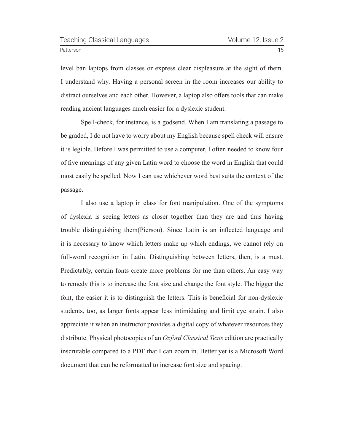level ban laptops from classes or express clear displeasure at the sight of them. I understand why. Having a personal screen in the room increases our ability to

distract ourselves and each other. However, a laptop also offers tools that can make reading ancient languages much easier for a dyslexic student.

Spell-check, for instance, is a godsend. When I am translating a passage to be graded, I do not have to worry about my English because spell check will ensure it is legible. Before I was permitted to use a computer, I often needed to know four of five meanings of any given Latin word to choose the word in English that could most easily be spelled. Now I can use whichever word best suits the context of the passage.

I also use a laptop in class for font manipulation. One of the symptoms of dyslexia is seeing letters as closer together than they are and thus having trouble distinguishing them(Pierson). Since Latin is an inflected language and it is necessary to know which letters make up which endings, we cannot rely on full-word recognition in Latin. Distinguishing between letters, then, is a must. Predictably, certain fonts create more problems for me than others. An easy way to remedy this is to increase the font size and change the font style. The bigger the font, the easier it is to distinguish the letters. This is beneficial for non-dyslexic students, too, as larger fonts appear less intimidating and limit eye strain. I also appreciate it when an instructor provides a digital copy of whatever resources they distribute. Physical photocopies of an *Oxford Classical Texts* edition are practically inscrutable compared to a PDF that I can zoom in. Better yet is a Microsoft Word document that can be reformatted to increase font size and spacing.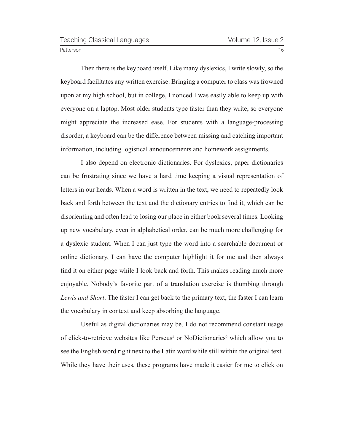<span id="page-15-0"></span>

Then there is the keyboard itself. Like many dyslexics, I write slowly, so the keyboard facilitates any written exercise. Bringing a computer to class was frowned upon at my high school, but in college, I noticed I was easily able to keep up with everyone on a laptop. Most older students type faster than they write, so everyone might appreciate the increased ease. For students with a language-processing disorder, a keyboard can be the difference between missing and catching important information, including logistical announcements and homework assignments.

I also depend on electronic dictionaries. For dyslexics, paper dictionaries can be frustrating since we have a hard time keeping a visual representation of letters in our heads. When a word is written in the text, we need to repeatedly look back and forth between the text and the dictionary entries to find it, which can be disorienting and often lead to losing our place in either book several times. Looking up new vocabulary, even in alphabetical order, can be much more challenging for a dyslexic student. When I can just type the word into a searchable document or online dictionary, I can have the computer highlight it for me and then always find it on either page while I look back and forth. This makes reading much more enjoyable. Nobody's favorite part of a translation exercise is thumbing through *Lewis and Short*. The faster I can get back to the primary text, the faster I can learn the vocabulary in context and keep absorbing the language.

Useful as digital dictionaries may be, I do not recommend constant usage of click-to-retrieve websites like Perseus<sup>[5](#page-23-0)</sup> or NoDictionaries<sup>[6](#page-23-0)</sup> which allow you to see the English word right next to the Latin word while still within the original text. While they have their uses, these programs have made it easier for me to click on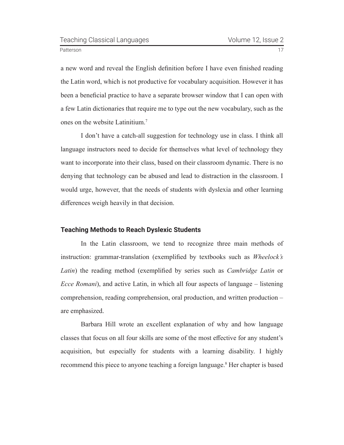<span id="page-16-0"></span>

a new word and reveal the English definition before I have even finished reading the Latin word, which is not productive for vocabulary acquisition. However it has been a beneficial practice to have a separate browser window that I can open with a few Latin dictionaries that require me to type out the new vocabulary, such as the ones on the website Latinitium.[7](#page-23-0)

I don't have a catch-all suggestion for technology use in class. I think all language instructors need to decide for themselves what level of technology they want to incorporate into their class, based on their classroom dynamic. There is no denying that technology can be abused and lead to distraction in the classroom. I would urge, however, that the needs of students with dyslexia and other learning differences weigh heavily in that decision.

#### **Teaching Methods to Reach Dyslexic Students**

In the Latin classroom, we tend to recognize three main methods of instruction: grammar-translation (exemplified by textbooks such as *Wheelock's Latin*) the reading method (exemplified by series such as *Cambridge Latin* or *Ecce Romani*), and active Latin, in which all four aspects of language – listening comprehension, reading comprehension, oral production, and written production – are emphasized.

Barbara Hill wrote an excellent explanation of why and how language classes that focus on all four skills are some of the most effective for any student's acquisition, but especially for students with a learning disability. I highly recommend this piece to anyone teaching a foreign language.[8](#page-23-0) Her chapter is based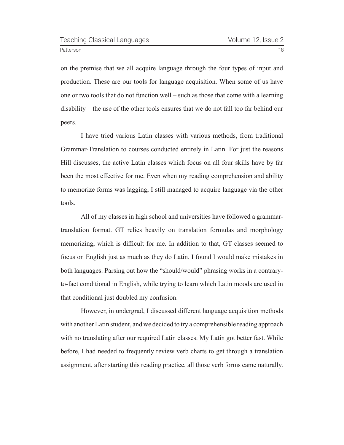on the premise that we all acquire language through the four types of input and production. These are our tools for language acquisition. When some of us have one or two tools that do not function well – such as those that come with a learning disability – the use of the other tools ensures that we do not fall too far behind our peers.

I have tried various Latin classes with various methods, from traditional Grammar-Translation to courses conducted entirely in Latin. For just the reasons Hill discusses, the active Latin classes which focus on all four skills have by far been the most effective for me. Even when my reading comprehension and ability to memorize forms was lagging, I still managed to acquire language via the other tools.

All of my classes in high school and universities have followed a grammartranslation format. GT relies heavily on translation formulas and morphology memorizing, which is difficult for me. In addition to that, GT classes seemed to focus on English just as much as they do Latin. I found I would make mistakes in both languages. Parsing out how the "should/would" phrasing works in a contraryto-fact conditional in English, while trying to learn which Latin moods are used in that conditional just doubled my confusion.

However, in undergrad, I discussed different language acquisition methods with another Latin student, and we decided to try a comprehensible reading approach with no translating after our required Latin classes. My Latin got better fast. While before, I had needed to frequently review verb charts to get through a translation assignment, after starting this reading practice, all those verb forms came naturally.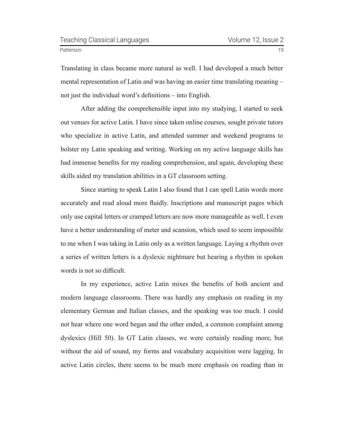Translating in class became more natural as well. I had developed a much better mental representation of Latin and was having an easier time translating meaning – not just the individual word's definitions – into English.

After adding the comprehensible input into my studying, I started to seek out venues for active Latin. I have since taken online courses, sought private tutors who specialize in active Latin, and attended summer and weekend programs to bolster my Latin speaking and writing. Working on my active language skills has had immense benefits for my reading comprehension, and again, developing these skills aided my translation abilities in a GT classroom setting.

Since starting to speak Latin I also found that I can spell Latin words more accurately and read aloud more fluidly. Inscriptions and manuscript pages which only use capital letters or cramped letters are now more manageable as well. I even have a better understanding of meter and scansion, which used to seem impossible to me when I was taking in Latin only as a written language. Laying a rhythm over a series of written letters is a dyslexic nightmare but hearing a rhythm in spoken words is not so difficult.

In my experience, active Latin mixes the benefits of both ancient and modern language classrooms. There was hardly any emphasis on reading in my elementary German and Italian classes, and the speaking was too much. I could not hear where one word began and the other ended, a common complaint among dyslexics (Hill 50). In GT Latin classes, we were certainly reading more, but without the aid of sound, my forms and vocabulary acquisition were lagging. In active Latin circles, there seems to be much more emphasis on reading than in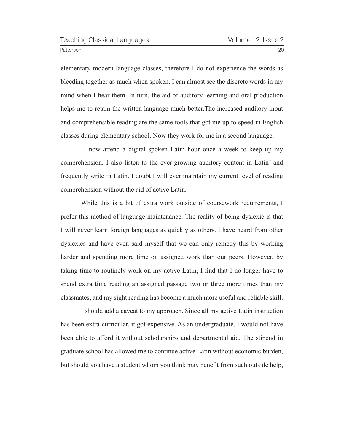<span id="page-19-0"></span>elementary modern language classes, therefore I do not experience the words as bleeding together as much when spoken. I can almost see the discrete words in my mind when I hear them. In turn, the aid of auditory learning and oral production helps me to retain the written language much better.The increased auditory input and comprehensible reading are the same tools that got me up to speed in English classes during elementary school. Now they work for me in a second language.

 I now attend a digital spoken Latin hour once a week to keep up my comprehension. I also listen to the ever-growing auditory content in Latin<sup>[9](#page-23-0)</sup> and frequently write in Latin. I doubt I will ever maintain my current level of reading comprehension without the aid of active Latin.

While this is a bit of extra work outside of coursework requirements, I prefer this method of language maintenance. The reality of being dyslexic is that I will never learn foreign languages as quickly as others. I have heard from other dyslexics and have even said myself that we can only remedy this by working harder and spending more time on assigned work than our peers. However, by taking time to routinely work on my active Latin, I find that I no longer have to spend extra time reading an assigned passage two or three more times than my classmates, and my sight reading has become a much more useful and reliable skill.

I should add a caveat to my approach. Since all my active Latin instruction has been extra-curricular, it got expensive. As an undergraduate, I would not have been able to afford it without scholarships and departmental aid. The stipend in graduate school has allowed me to continue active Latin without economic burden, but should you have a student whom you think may benefit from such outside help,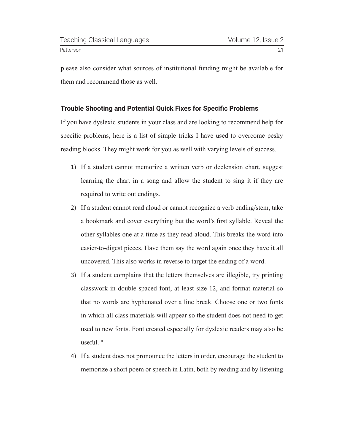<span id="page-20-0"></span>please also consider what sources of institutional funding might be available for them and recommend those as well.

#### **Trouble Shooting and Potential Quick Fixes for Specific Problems**

If you have dyslexic students in your class and are looking to recommend help for specific problems, here is a list of simple tricks I have used to overcome pesky reading blocks. They might work for you as well with varying levels of success.

- 1) If a student cannot memorize a written verb or declension chart, suggest learning the chart in a song and allow the student to sing it if they are required to write out endings.
- 2) If a student cannot read aloud or cannot recognize a verb ending/stem, take a bookmark and cover everything but the word's first syllable. Reveal the other syllables one at a time as they read aloud. This breaks the word into easier-to-digest pieces. Have them say the word again once they have it all uncovered. This also works in reverse to target the ending of a word.
- 3) If a student complains that the letters themselves are illegible, try printing classwork in double spaced font, at least size 12, and format material so that no words are hyphenated over a line break. Choose one or two fonts in which all class materials will appear so the student does not need to get used to new fonts. Font created especially for dyslexic readers may also be useful.<sup>[10](#page-23-0)</sup>
- 4) If a student does not pronounce the letters in order, encourage the student to memorize a short poem or speech in Latin, both by reading and by listening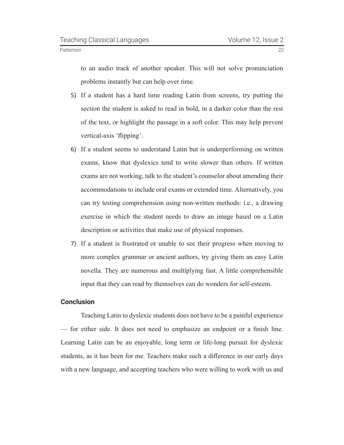to an audio track of another speaker. This will not solve pronunciation problems instantly but can help over time.

- 5) If a student has a hard time reading Latin from screens, try putting the section the student is asked to read in bold, in a darker color than the rest of the text, or highlight the passage in a soft color. This may help prevent vertical-axis 'flipping'.
- 6) If a student seems to understand Latin but is underperforming on written exams, know that dyslexics tend to write slower than others. If written exams are not working, talk to the student's counselor about amending their accommodations to include oral exams or extended time. Alternatively, you can try testing comprehension using non-written methods: i.e., a drawing exercise in which the student needs to draw an image based on a Latin description or activities that make use of physical responses.
- 7) If a student is frustrated or unable to see their progress when moving to more complex grammar or ancient authors, try giving them an easy Latin novella. They are numerous and multiplying fast. A little comprehensible input that they can read by themselves can do wonders for self-esteem.

#### **Conclusion**

Teaching Latin to dyslexic students does not have to be a painful experience — for either side. It does not need to emphasize an endpoint or a finish line. Learning Latin can be an enjoyable, long term or life-long pursuit for dyslexic students, as it has been for me. Teachers make such a difference in our early days with a new language, and accepting teachers who were willing to work with us and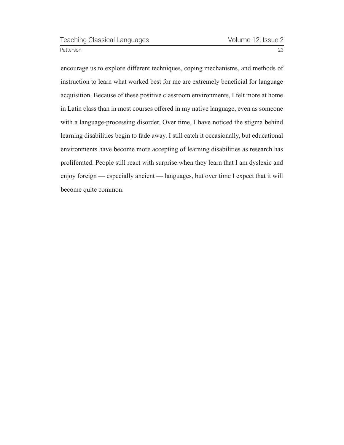encourage us to explore different techniques, coping mechanisms, and methods of instruction to learn what worked best for me are extremely beneficial for language acquisition. Because of these positive classroom environments, I felt more at home in Latin class than in most courses offered in my native language, even as someone with a language-processing disorder. Over time, I have noticed the stigma behind learning disabilities begin to fade away. I still catch it occasionally, but educational environments have become more accepting of learning disabilities as research has proliferated. People still react with surprise when they learn that I am dyslexic and enjoy foreign — especially ancient — languages, but over time I expect that it will become quite common.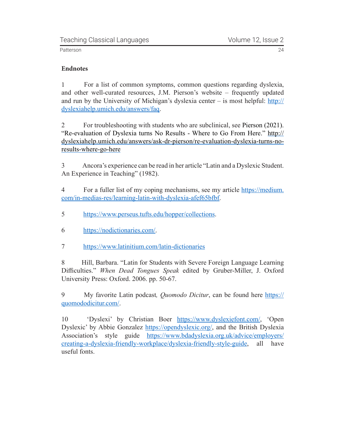#### <span id="page-23-0"></span>**Endnotes**

[1](#page-8-0) For a list of common symptoms, common questions regarding dyslexia, and other well-curated resources, J.M. Pierson's website – frequently updated and run by the University of Michigan's dyslexia center – is most helpful: [http://](http://dyslexiahelp.umich.edu/answers/faq) [dyslexiahelp.umich.edu/answers/faq.](http://dyslexiahelp.umich.edu/answers/faq)

[2](#page-10-0) For troubleshooting with students who are subclinical, see Pierson (2021). "Re-evaluation of Dyslexia turns No Results - Where to Go From Here." [http://](http://dyslexiahelp.umich.edu/answers/ask-dr-pierson/re-evaluation-dyslexia-turns-no-results-where-go-here) [dyslexiahelp.umich.edu/answers/ask-dr-pierson/re-evaluation-dyslexia-turns-no](http://dyslexiahelp.umich.edu/answers/ask-dr-pierson/re-evaluation-dyslexia-turns-no-results-where-go-here)[results-where-go-here](http://dyslexiahelp.umich.edu/answers/ask-dr-pierson/re-evaluation-dyslexia-turns-no-results-where-go-here)

[3](#page-12-0) Ancora's experience can be read in her article "Latin and a Dyslexic Student. An Experience in Teaching" (1982).

[4](#page-13-0) For a fuller list of my coping mechanisms, see my article [https://medium.](https://medium.com/in-medias-res/learning-latin-with-dyslexia-afef65bfbf) [com/in-medias-res/learning-latin-with-dyslexia-afef65bfbf.](https://medium.com/in-medias-res/learning-latin-with-dyslexia-afef65bfbf)

- [5](#page-15-0) [https://www.perseus.tufts.edu/hopper/collections.](https://www.perseus.tufts.edu/hopper/collections)
- [6](#page-15-0) [https://nodictionaries.com/.](https://nodictionaries.com/)
- [7](#page-16-0) <https://www.latinitium.com/latin-dictionaries>

[8](#page-16-0) Hill, Barbara. "Latin for Students with Severe Foreign Language Learning Difficulties." *When Dead Tongues Speak* edited by Gruber-Miller, J. Oxford University Press: Oxford. 2006. pp. 50-67.

[9](#page-19-0) My favorite Latin podcast*, Quomodo Dicitur*, can be found here [https://](https://quomododicitur.com/) [quomododicitur.com/](https://quomododicitur.com/).

[10](#page-20-0) 'Dyslexi' by Christian Boer <https://www.dyslexiefont.com/>, 'Open Dyslexic' by Abbie Gonzalez <https://opendyslexic.org/>, and the British Dyslexia Association's style guide [https://www.bdadyslexia.org.uk/advice/employers/](https://www.bdadyslexia.org.uk/advice/employers/creating-a-dyslexia-friendly-workplace/dyslexia-friendly-style-guide) [creating-a-dyslexia-friendly-workplace/dyslexia-friendly-style-guide](https://www.bdadyslexia.org.uk/advice/employers/creating-a-dyslexia-friendly-workplace/dyslexia-friendly-style-guide), all have useful fonts.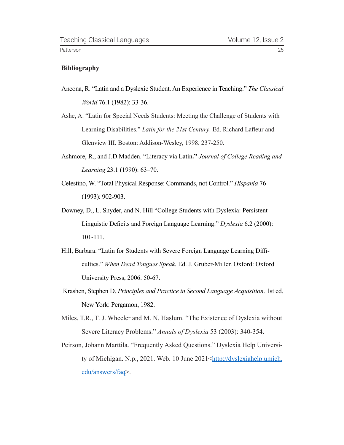#### **Bibliography**

- Ancona, R. "Latin and a Dyslexic Student. An Experience in Teaching." *The Classical World* 76.1 (1982): 33-36.
- Ashe, A. "Latin for Special Needs Students: Meeting the Challenge of Students with Learning Disabilities." *Latin for the 21st Century*. Ed. Richard Lafleur and Glenview III. Boston: Addison-Wesley, 1998. 237-250.
- Ashmore, R., and J.D.Madden. "Literacy via Latin**."** *Journal of College Reading and Learning* 23.1 (1990): 63–70.
- Celestino, W. "Total Physical Response: Commands, not Control." *Hispania* 76 (1993): 902-903.
- Downey, D., L. Snyder, and N. Hill "College Students with Dyslexia: Persistent Linguistic Deficits and Foreign Language Learning." *Dyslexia* 6.2 (2000): 101-111.
- Hill, Barbara. "Latin for Students with Severe Foreign Language Learning Difficulties." *When Dead Tongues Speak*. Ed. J. Gruber-Miller. Oxford: Oxford University Press, 2006. 50-67.
- Krashen, Stephen D. *Principles and Practice in Second Language Acquisition*. 1st ed. New York: Pergamon, 1982.
- Miles, T.R., T. J. Wheeler and M. N. Haslum. "The Existence of Dyslexia without Severe Literacy Problems." *Annals of Dyslexia* 53 (2003): 340-354.
- Peirson, Johann Marttila. "Frequently Asked Questions." Dyslexia Help University of Michigan. N.p., 2021. Web. 10 June 2021<[http://dyslexiahelp.umich.](http://dyslexiahelp.umich.edu/answers/faq) [edu/answers/faq](http://dyslexiahelp.umich.edu/answers/faq)>.